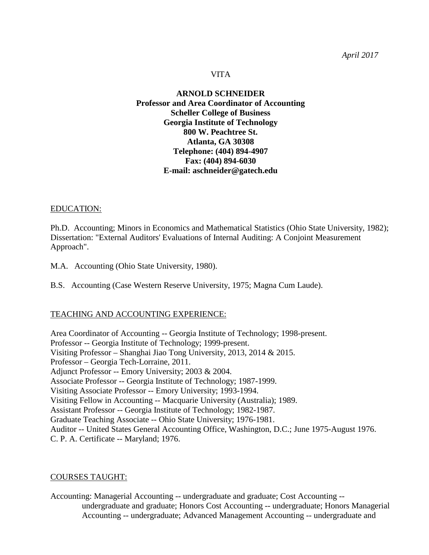#### VITA

## **ARNOLD SCHNEIDER Professor and Area Coordinator of Accounting Scheller College of Business Georgia Institute of Technology 800 W. Peachtree St. Atlanta, GA 30308 Telephone: (404) 894-4907 Fax: (404) 894-6030 E-mail: aschneider@gatech.edu**

### EDUCATION:

Ph.D. Accounting; Minors in Economics and Mathematical Statistics (Ohio State University, 1982); Dissertation: "External Auditors' Evaluations of Internal Auditing: A Conjoint Measurement Approach".

M.A. Accounting (Ohio State University, 1980).

B.S. Accounting (Case Western Reserve University, 1975; Magna Cum Laude).

### TEACHING AND ACCOUNTING EXPERIENCE:

Area Coordinator of Accounting -- Georgia Institute of Technology; 1998-present. Professor -- Georgia Institute of Technology; 1999-present. Visiting Professor – Shanghai Jiao Tong University, 2013, 2014 & 2015. Professor – Georgia Tech-Lorraine, 2011. Adjunct Professor -- Emory University; 2003 & 2004. Associate Professor -- Georgia Institute of Technology; 1987-1999. Visiting Associate Professor -- Emory University; 1993-1994. Visiting Fellow in Accounting -- Macquarie University (Australia); 1989. Assistant Professor -- Georgia Institute of Technology; 1982-1987. Graduate Teaching Associate -- Ohio State University; 1976-1981. Auditor -- United States General Accounting Office, Washington, D.C.; June 1975-August 1976. C. P. A. Certificate -- Maryland; 1976.

### COURSES TAUGHT:

Accounting: Managerial Accounting -- undergraduate and graduate; Cost Accounting - undergraduate and graduate; Honors Cost Accounting -- undergraduate; Honors Managerial Accounting -- undergraduate; Advanced Management Accounting -- undergraduate and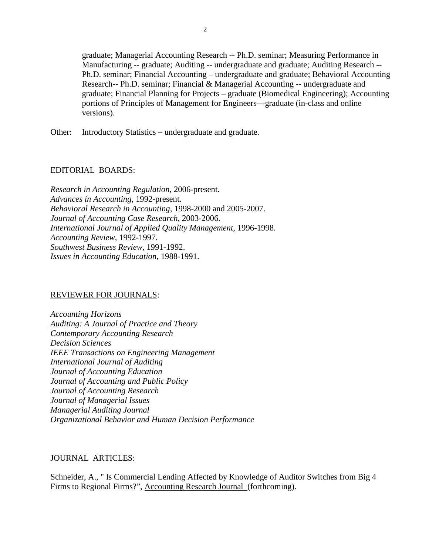graduate; Managerial Accounting Research -- Ph.D. seminar; Measuring Performance in Manufacturing -- graduate; Auditing -- undergraduate and graduate; Auditing Research -- Ph.D. seminar; Financial Accounting – undergraduate and graduate; Behavioral Accounting Research-- Ph.D. seminar; Financial & Managerial Accounting -- undergraduate and graduate; Financial Planning for Projects – graduate (Biomedical Engineering); Accounting portions of Principles of Management for Engineers—graduate (in-class and online versions).

Other: Introductory Statistics – undergraduate and graduate.

#### EDITORIAL BOARDS:

*Research in Accounting Regulation*, 2006-present. *Advances in Accounting*, 1992-present. *Behavioral Research in Accounting*, 1998-2000 and 2005-2007. *Journal of Accounting Case Research,* 2003-2006. *International Journal of Applied Quality Management,* 1996-1998. *Accounting Review,* 1992-1997. *Southwest Business Review*, 1991-1992. *Issues in Accounting Education*, 1988-1991.

### REVIEWER FOR JOURNALS:

*Accounting Horizons Auditing: A Journal of Practice and Theory Contemporary Accounting Research Decision Sciences IEEE Transactions on Engineering Management International Journal of Auditing Journal of Accounting Education Journal of Accounting and Public Policy Journal of Accounting Research Journal of Managerial Issues Managerial Auditing Journal Organizational Behavior and Human Decision Performance*

#### JOURNAL ARTICLES:

Schneider, A., " Is Commercial Lending Affected by Knowledge of Auditor Switches from Big 4 Firms to Regional Firms?", Accounting Research Journal (forthcoming).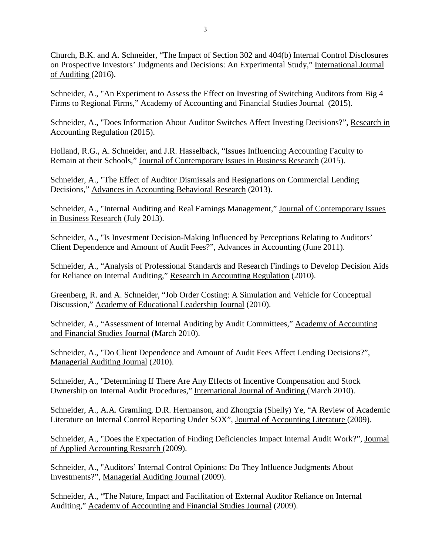Church, B.K. and A. Schneider, "The Impact of Section 302 and 404(b) Internal Control Disclosures on Prospective Investors' Judgments and Decisions: An Experimental Study," International Journal of Auditing (2016).

Schneider, A., "An Experiment to Assess the Effect on Investing of Switching Auditors from Big 4 Firms to Regional Firms," Academy of Accounting and Financial Studies Journal (2015).

Schneider, A., "Does Information About Auditor Switches Affect Investing Decisions?", Research in Accounting Regulation (2015).

Holland, R.G., A. Schneider, and J.R. Hasselback, "Issues Influencing Accounting Faculty to Remain at their Schools," Journal of Contemporary Issues in Business Research (2015).

Schneider, A., "The Effect of Auditor Dismissals and Resignations on Commercial Lending Decisions," Advances in Accounting Behavioral Research (2013).

Schneider, A., "Internal Auditing and Real Earnings Management," Journal of Contemporary Issues in Business Research (July 2013).

Schneider, A., "Is Investment Decision-Making Influenced by Perceptions Relating to Auditors' Client Dependence and Amount of Audit Fees?", Advances in Accounting (June 2011).

Schneider, A., "Analysis of Professional Standards and Research Findings to Develop Decision Aids for Reliance on Internal Auditing," Research in Accounting Regulation (2010).

Greenberg, R. and A. Schneider, "Job Order Costing: A Simulation and Vehicle for Conceptual Discussion," Academy of Educational Leadership Journal (2010).

Schneider, A., "Assessment of Internal Auditing by Audit Committees," Academy of Accounting and Financial Studies Journal (March 2010).

Schneider, A., "Do Client Dependence and Amount of Audit Fees Affect Lending Decisions?", Managerial Auditing Journal (2010).

Schneider, A., "Determining If There Are Any Effects of Incentive Compensation and Stock Ownership on Internal Audit Procedures," International Journal of Auditing (March 2010).

Schneider, A., A.A. Gramling, D.R. Hermanson, and Zhongxia (Shelly) Ye, "A Review of Academic Literature on Internal Control Reporting Under SOX", Journal of Accounting Literature (2009).

Schneider, A., "Does the Expectation of Finding Deficiencies Impact Internal Audit Work?", Journal of Applied Accounting Research (2009).

Schneider, A., "Auditors' Internal Control Opinions: Do They Influence Judgments About Investments?", Managerial Auditing Journal (2009).

Schneider, A., "The Nature, Impact and Facilitation of External Auditor Reliance on Internal Auditing," Academy of Accounting and Financial Studies Journal (2009).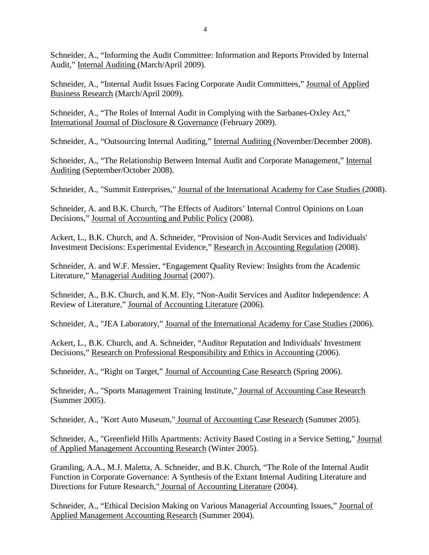Schneider, A., "Informing the Audit Committee: Information and Reports Provided by Internal Audit," Internal Auditing (March/April 2009).

Schneider, A., "Internal Audit Issues Facing Corporate Audit Committees," Journal of Applied Business Research (March/April 2009).

Schneider, A., "The Roles of Internal Audit in Complying with the Sarbanes-Oxley Act," International Journal of Disclosure & Governance (February 2009).

Schneider, A., "Outsourcing Internal Auditing," Internal Auditing (November/December 2008).

Schneider, A., "The Relationship Between Internal Audit and Corporate Management," Internal Auditing (September/October 2008).

Schneider, A., "Summit Enterprises," [Journal of the International Academy for Case Studies \(](http://www.alliedacademies.org/case/index.html)2008).

Schneider, A. and B.K. Church, "The Effects of Auditors' Internal Control Opinions on Loan Decisions," Journal of Accounting and Public Policy (2008).

Ackert, L., B.K. Church, and A. Schneider, "Provision of Non-Audit Services and Individuals' Investment Decisions: Experimental Evidence," Research in Accounting Regulation (2008).

Schneider, A. and W.F. Messier, "Engagement Quality Review: Insights from the Academic Literature," Managerial Auditing Journal (2007).

Schneider, A., B.K. Church, and K.M. Ely, "Non-Audit Services and Auditor Independence: A Review of Literature," Journal of Accounting Literature (2006).

Schneider, A., "JEA Laboratory," [Journal of the International Academy for Case Studies \(](http://www.alliedacademies.org/case/index.html)2006).

Ackert, L., B.K. Church, and A. Schneider, "Auditor Reputation and Individuals' Investment Decisions," Research on Professional Responsibility and Ethics in Accounting (2006).

Schneider, A., "Right on Target," Journal of Accounting Case Research (Spring 2006).

Schneider, A., "Sports Management Training Institute," Journal of Accounting Case Research (Summer 2005).

Schneider, A., "Kort Auto Museum," Journal of Accounting Case Research (Summer 2005).

Schneider, A., "Greenfield Hills Apartments: Activity Based Costing in a Service Setting," Journal of Applied Management Accounting Research (Winter 2005).

Gramling, A.A., M.J. Maletta, A. Schneider, and B.K. Church, "The Role of the Internal Audit Function in Corporate Governance: A Synthesis of the Extant Internal Auditing Literature and Directions for Future Research," Journal of Accounting Literature (2004).

Schneider, A., "Ethical Decision Making on Various Managerial Accounting Issues," Journal of Applied Management Accounting Research (Summer 2004).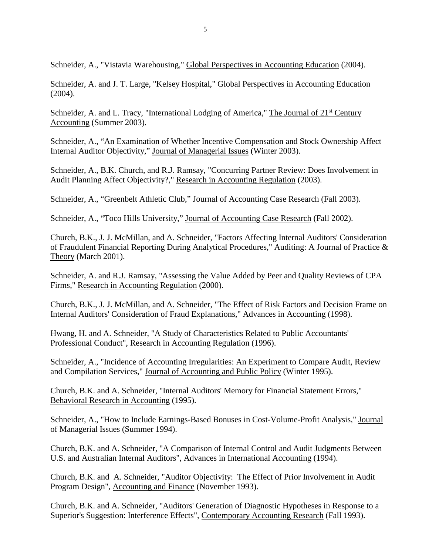Schneider, A., "Vistavia Warehousing," Global Perspectives in Accounting Education (2004).

Schneider, A. and J. T. Large, "Kelsey Hospital," Global Perspectives in Accounting Education (2004).

Schneider, A. and L. Tracy, "International Lodging of America," The Journal of 21<sup>st</sup> Century Accounting (Summer 2003).

Schneider, A., "An Examination of Whether Incentive Compensation and Stock Ownership Affect Internal Auditor Objectivity," Journal of Managerial Issues (Winter 2003).

Schneider, A., B.K. Church, and R.J. Ramsay, "Concurring Partner Review: Does Involvement in Audit Planning Affect Objectivity?," Research in Accounting Regulation (2003).

Schneider, A., "Greenbelt Athletic Club," Journal of Accounting Case Research (Fall 2003).

Schneider, A., "Toco Hills University," Journal of Accounting Case Research (Fall 2002).

Church, B.K., J. J. McMillan, and A. Schneider, "Factors Affecting Internal Auditors' Consideration of Fraudulent Financial Reporting During Analytical Procedures," Auditing: A Journal of Practice & Theory (March 2001).

Schneider, A. and R.J. Ramsay, "Assessing the Value Added by Peer and Quality Reviews of CPA Firms," Research in Accounting Regulation (2000).

Church, B.K., J. J. McMillan, and A. Schneider, "The Effect of Risk Factors and Decision Frame on Internal Auditors' Consideration of Fraud Explanations," Advances in Accounting (1998).

Hwang, H. and A. Schneider, "A Study of Characteristics Related to Public Accountants' Professional Conduct", Research in Accounting Regulation (1996).

Schneider, A., "Incidence of Accounting Irregularities: An Experiment to Compare Audit, Review and Compilation Services," Journal of Accounting and Public Policy (Winter 1995).

Church, B.K. and A. Schneider, "Internal Auditors' Memory for Financial Statement Errors," Behavioral Research in Accounting (1995).

Schneider, A., "How to Include Earnings-Based Bonuses in Cost-Volume-Profit Analysis," Journal of Managerial Issues (Summer 1994).

Church, B.K. and A. Schneider, "A Comparison of Internal Control and Audit Judgments Between U.S. and Australian Internal Auditors", Advances in International Accounting (1994).

Church, B.K. and A. Schneider, "Auditor Objectivity: The Effect of Prior Involvement in Audit Program Design", Accounting and Finance (November 1993).

Church, B.K. and A. Schneider, "Auditors' Generation of Diagnostic Hypotheses in Response to a Superior's Suggestion: Interference Effects", Contemporary Accounting Research (Fall 1993).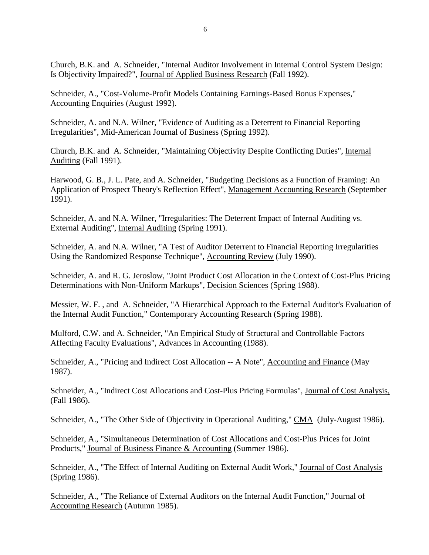Church, B.K. and A. Schneider, "Internal Auditor Involvement in Internal Control System Design: Is Objectivity Impaired?", Journal of Applied Business Research (Fall 1992).

Schneider, A., "Cost-Volume-Profit Models Containing Earnings-Based Bonus Expenses," Accounting Enquiries (August 1992).

Schneider, A. and N.A. Wilner, "Evidence of Auditing as a Deterrent to Financial Reporting Irregularities", Mid-American Journal of Business (Spring 1992).

Church, B.K. and A. Schneider, "Maintaining Objectivity Despite Conflicting Duties", Internal Auditing (Fall 1991).

Harwood, G. B., J. L. Pate, and A. Schneider, "Budgeting Decisions as a Function of Framing: An Application of Prospect Theory's Reflection Effect", Management Accounting Research (September 1991).

Schneider, A. and N.A. Wilner, "Irregularities: The Deterrent Impact of Internal Auditing vs. External Auditing", Internal Auditing (Spring 1991).

Schneider, A. and N.A. Wilner, "A Test of Auditor Deterrent to Financial Reporting Irregularities Using the Randomized Response Technique", Accounting Review (July 1990).

Schneider, A. and R. G. Jeroslow, "Joint Product Cost Allocation in the Context of Cost-Plus Pricing Determinations with Non-Uniform Markups", Decision Sciences (Spring 1988).

Messier, W. F. , and A. Schneider, "A Hierarchical Approach to the External Auditor's Evaluation of the Internal Audit Function," Contemporary Accounting Research (Spring 1988).

Mulford, C.W. and A. Schneider, "An Empirical Study of Structural and Controllable Factors Affecting Faculty Evaluations", Advances in Accounting (1988).

Schneider, A., "Pricing and Indirect Cost Allocation -- A Note", Accounting and Finance (May 1987).

Schneider, A., "Indirect Cost Allocations and Cost-Plus Pricing Formulas", Journal of Cost Analysis, (Fall 1986).

Schneider, A., "The Other Side of Objectivity in Operational Auditing," CMA (July-August 1986).

Schneider, A., "Simultaneous Determination of Cost Allocations and Cost-Plus Prices for Joint Products," Journal of Business Finance & Accounting (Summer 1986).

Schneider, A., "The Effect of Internal Auditing on External Audit Work," Journal of Cost Analysis (Spring 1986).

Schneider, A., "The Reliance of External Auditors on the Internal Audit Function," Journal of Accounting Research (Autumn 1985).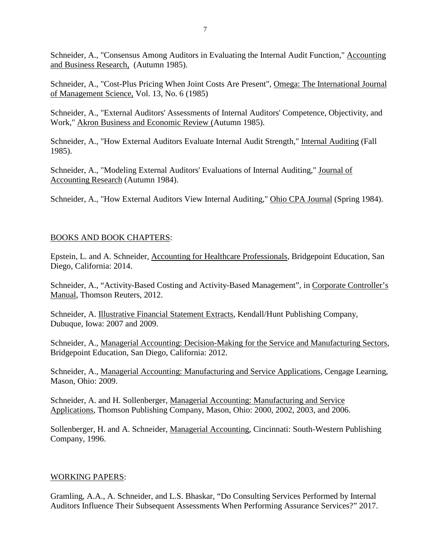Schneider, A., "Consensus Among Auditors in Evaluating the Internal Audit Function," Accounting and Business Research, (Autumn 1985).

Schneider, A., "Cost-Plus Pricing When Joint Costs Are Present", Omega: The International Journal of Management Science, Vol. 13, No. 6 (1985)

Schneider, A., "External Auditors' Assessments of Internal Auditors' Competence, Objectivity, and Work," Akron Business and Economic Review (Autumn 1985).

Schneider, A., "How External Auditors Evaluate Internal Audit Strength," Internal Auditing (Fall 1985).

Schneider, A., "Modeling External Auditors' Evaluations of Internal Auditing," Journal of Accounting Research (Autumn 1984).

Schneider, A., "How External Auditors View Internal Auditing," Ohio CPA Journal (Spring 1984).

# BOOKS AND BOOK CHAPTERS:

Epstein, L. and A. Schneider, Accounting for Healthcare Professionals, Bridgepoint Education, San Diego, California: 2014.

Schneider, A., "Activity-Based Costing and Activity-Based Management", in Corporate Controller's Manual, Thomson Reuters, 2012.

Schneider, A. Illustrative Financial Statement Extracts, Kendall/Hunt Publishing Company, Dubuque, Iowa: 2007 and 2009.

Schneider, A., Managerial Accounting: Decision-Making for the Service and Manufacturing Sectors, Bridgepoint Education, San Diego, California: 2012.

Schneider, A., Managerial Accounting: Manufacturing and Service Applications, Cengage Learning, Mason, Ohio: 2009.

Schneider, A. and H. Sollenberger, Managerial Accounting: Manufacturing and Service Applications, Thomson Publishing Company, Mason, Ohio: 2000, 2002, 2003, and 2006.

Sollenberger, H. and A. Schneider, Managerial Accounting, Cincinnati: South-Western Publishing Company, 1996.

### WORKING PAPERS:

Gramling, A.A., A. Schneider, and L.S. Bhaskar, "Do Consulting Services Performed by Internal Auditors Influence Their Subsequent Assessments When Performing Assurance Services?" 2017.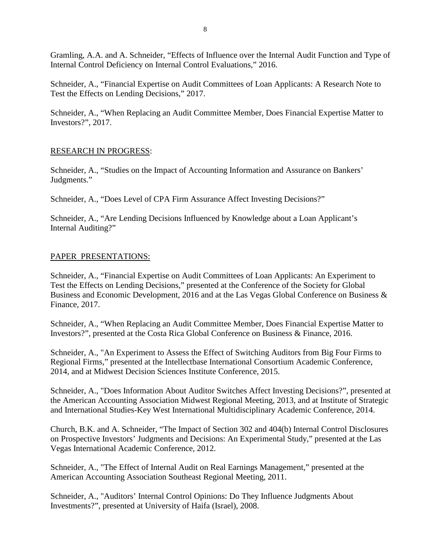Gramling, A.A. and A. Schneider, "Effects of Influence over the Internal Audit Function and Type of Internal Control Deficiency on Internal Control Evaluations," 2016.

Schneider, A., "Financial Expertise on Audit Committees of Loan Applicants: A Research Note to Test the Effects on Lending Decisions," 2017.

Schneider, A., "When Replacing an Audit Committee Member, Does Financial Expertise Matter to Investors?", 2017.

### RESEARCH IN PROGRESS:

Schneider, A., "Studies on the Impact of Accounting Information and Assurance on Bankers' Judgments."

Schneider, A., "Does Level of CPA Firm Assurance Affect Investing Decisions?"

Schneider, A., "Are Lending Decisions Influenced by Knowledge about a Loan Applicant's Internal Auditing?"

### PAPER PRESENTATIONS:

Schneider, A., "Financial Expertise on Audit Committees of Loan Applicants: An Experiment to Test the Effects on Lending Decisions," presented at the Conference of the Society for Global Business and Economic Development, 2016 and at the Las Vegas Global Conference on Business & Finance, 2017.

Schneider, A., "When Replacing an Audit Committee Member, Does Financial Expertise Matter to Investors?", presented at the Costa Rica Global Conference on Business & Finance, 2016.

Schneider, A., "An Experiment to Assess the Effect of Switching Auditors from Big Four Firms to Regional Firms," presented at the Intellectbase International Consortium Academic Conference, 2014, and at Midwest Decision Sciences Institute Conference, 2015.

Schneider, A., "Does Information About Auditor Switches Affect Investing Decisions?", presented at the American Accounting Association Midwest Regional Meeting, 2013, and at Institute of Strategic and International Studies-Key West International Multidisciplinary Academic Conference, 2014.

Church, B.K. and A. Schneider, "The Impact of Section 302 and 404(b) Internal Control Disclosures on Prospective Investors' Judgments and Decisions: An Experimental Study," presented at the Las Vegas International Academic Conference, 2012.

Schneider, A., "The Effect of Internal Audit on Real Earnings Management," presented at the American Accounting Association Southeast Regional Meeting, 2011.

Schneider, A., "Auditors' Internal Control Opinions: Do They Influence Judgments About Investments?", presented at University of Haifa (Israel), 2008.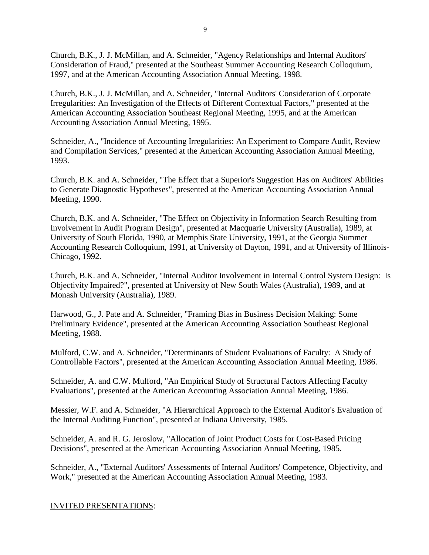Church, B.K., J. J. McMillan, and A. Schneider, "Agency Relationships and Internal Auditors' Consideration of Fraud," presented at the Southeast Summer Accounting Research Colloquium, 1997, and at the American Accounting Association Annual Meeting, 1998.

Church, B.K., J. J. McMillan, and A. Schneider, "Internal Auditors' Consideration of Corporate Irregularities: An Investigation of the Effects of Different Contextual Factors," presented at the American Accounting Association Southeast Regional Meeting, 1995, and at the American Accounting Association Annual Meeting, 1995.

Schneider, A., "Incidence of Accounting Irregularities: An Experiment to Compare Audit, Review and Compilation Services," presented at the American Accounting Association Annual Meeting, 1993.

Church, B.K. and A. Schneider, "The Effect that a Superior's Suggestion Has on Auditors' Abilities to Generate Diagnostic Hypotheses", presented at the American Accounting Association Annual Meeting, 1990.

Church, B.K. and A. Schneider, "The Effect on Objectivity in Information Search Resulting from Involvement in Audit Program Design", presented at Macquarie University (Australia), 1989, at University of South Florida, 1990, at Memphis State University, 1991, at the Georgia Summer Accounting Research Colloquium, 1991, at University of Dayton, 1991, and at University of Illinois-Chicago, 1992.

Church, B.K. and A. Schneider, "Internal Auditor Involvement in Internal Control System Design: Is Objectivity Impaired?", presented at University of New South Wales (Australia), 1989, and at Monash University (Australia), 1989.

Harwood, G., J. Pate and A. Schneider, "Framing Bias in Business Decision Making: Some Preliminary Evidence", presented at the American Accounting Association Southeast Regional Meeting, 1988.

Mulford, C.W. and A. Schneider, "Determinants of Student Evaluations of Faculty: A Study of Controllable Factors", presented at the American Accounting Association Annual Meeting, 1986.

Schneider, A. and C.W. Mulford, "An Empirical Study of Structural Factors Affecting Faculty Evaluations", presented at the American Accounting Association Annual Meeting, 1986.

Messier, W.F. and A. Schneider, "A Hierarchical Approach to the External Auditor's Evaluation of the Internal Auditing Function", presented at Indiana University, 1985.

Schneider, A. and R. G. Jeroslow, "Allocation of Joint Product Costs for Cost-Based Pricing Decisions", presented at the American Accounting Association Annual Meeting, 1985.

Schneider, A., "External Auditors' Assessments of Internal Auditors' Competence, Objectivity, and Work," presented at the American Accounting Association Annual Meeting, 1983.

### INVITED PRESENTATIONS: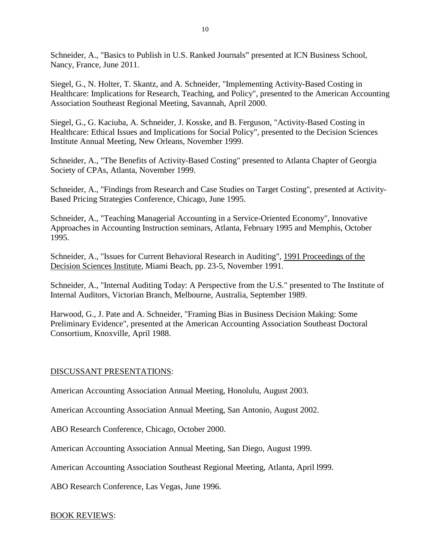Schneider, A., "Basics to Publish in U.S. Ranked Journals" presented at ICN Business School, Nancy, France, June 2011.

Siegel, G., N. Holter, T. Skantz, and A. Schneider, "Implementing Activity-Based Costing in Healthcare: Implications for Research, Teaching, and Policy", presented to the American Accounting Association Southeast Regional Meeting, Savannah, April 2000.

Siegel, G., G. Kaciuba, A. Schneider, J. Kosske, and B. Ferguson, "Activity-Based Costing in Healthcare: Ethical Issues and Implications for Social Policy", presented to the Decision Sciences Institute Annual Meeting, New Orleans, November 1999.

Schneider, A., "The Benefits of Activity-Based Costing" presented to Atlanta Chapter of Georgia Society of CPAs, Atlanta, November 1999.

Schneider, A., "Findings from Research and Case Studies on Target Costing", presented at Activity-Based Pricing Strategies Conference, Chicago, June 1995.

Schneider, A., "Teaching Managerial Accounting in a Service-Oriented Economy", Innovative Approaches in Accounting Instruction seminars, Atlanta, February 1995 and Memphis, October 1995.

Schneider, A., "Issues for Current Behavioral Research in Auditing", 1991 Proceedings of the Decision Sciences Institute, Miami Beach, pp. 23-5, November 1991.

Schneider, A., "Internal Auditing Today: A Perspective from the U.S." presented to The Institute of Internal Auditors, Victorian Branch, Melbourne, Australia, September 1989.

Harwood, G., J. Pate and A. Schneider, "Framing Bias in Business Decision Making: Some Preliminary Evidence", presented at the American Accounting Association Southeast Doctoral Consortium, Knoxville, April 1988.

### DISCUSSANT PRESENTATIONS:

American Accounting Association Annual Meeting, Honolulu, August 2003.

American Accounting Association Annual Meeting, San Antonio, August 2002.

ABO Research Conference, Chicago, October 2000.

American Accounting Association Annual Meeting, San Diego, August 1999.

American Accounting Association Southeast Regional Meeting, Atlanta, April l999.

ABO Research Conference, Las Vegas, June 1996.

### BOOK REVIEWS: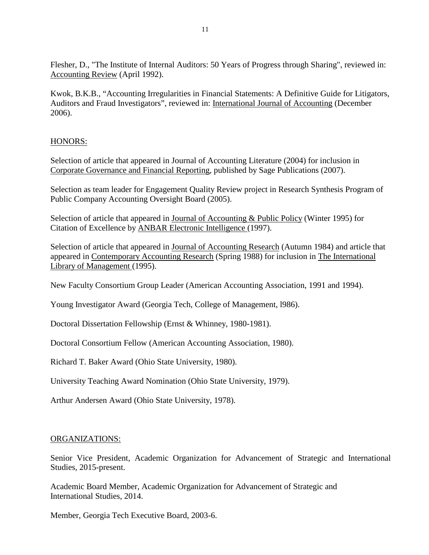Flesher, D., "The Institute of Internal Auditors: 50 Years of Progress through Sharing", reviewed in: Accounting Review (April 1992).

Kwok, B.K.B., "Accounting Irregularities in Financial Statements: A Definitive Guide for Litigators, Auditors and Fraud Investigators", reviewed in: International Journal of Accounting (December 2006).

# HONORS:

Selection of article that appeared in Journal of Accounting Literature (2004) for inclusion in Corporate Governance and Financial Reporting, published by Sage Publications (2007).

Selection as team leader for Engagement Quality Review project in Research Synthesis Program of Public Company Accounting Oversight Board (2005).

Selection of article that appeared in Journal of Accounting & Public Policy (Winter 1995) for Citation of Excellence by ANBAR Electronic Intelligence (1997).

Selection of article that appeared in Journal of Accounting Research (Autumn 1984) and article that appeared in Contemporary Accounting Research (Spring 1988) for inclusion in The International Library of Management (1995).

New Faculty Consortium Group Leader (American Accounting Association, 1991 and 1994).

Young Investigator Award (Georgia Tech, College of Management, l986).

Doctoral Dissertation Fellowship (Ernst & Whinney, 1980-1981).

Doctoral Consortium Fellow (American Accounting Association, 1980).

Richard T. Baker Award (Ohio State University, 1980).

University Teaching Award Nomination (Ohio State University, 1979).

Arthur Andersen Award (Ohio State University, 1978).

### ORGANIZATIONS:

Senior Vice President, Academic Organization for Advancement of Strategic and International Studies, 2015-present.

Academic Board Member, Academic Organization for Advancement of Strategic and International Studies, 2014.

Member, Georgia Tech Executive Board, 2003-6.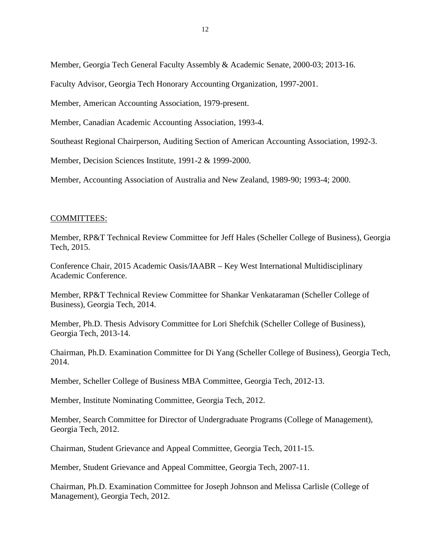Member, Georgia Tech General Faculty Assembly & Academic Senate, 2000-03; 2013-16.

Faculty Advisor, Georgia Tech Honorary Accounting Organization, 1997-2001.

Member, American Accounting Association, 1979-present.

Member, Canadian Academic Accounting Association, 1993-4.

Southeast Regional Chairperson, Auditing Section of American Accounting Association, 1992-3.

Member, Decision Sciences Institute, 1991-2 & 1999-2000.

Member, Accounting Association of Australia and New Zealand, 1989-90; 1993-4; 2000.

#### COMMITTEES:

Member, RP&T Technical Review Committee for Jeff Hales (Scheller College of Business), Georgia Tech, 2015.

Conference Chair, 2015 Academic Oasis/IAABR – Key West International Multidisciplinary Academic Conference.

Member, RP&T Technical Review Committee for Shankar Venkataraman (Scheller College of Business), Georgia Tech, 2014.

Member, Ph.D. Thesis Advisory Committee for Lori Shefchik (Scheller College of Business), Georgia Tech, 2013-14.

Chairman, Ph.D. Examination Committee for Di Yang (Scheller College of Business), Georgia Tech, 2014.

Member, Scheller College of Business MBA Committee, Georgia Tech, 2012-13.

Member, Institute Nominating Committee, Georgia Tech, 2012.

Member, Search Committee for Director of Undergraduate Programs (College of Management), Georgia Tech, 2012.

Chairman, Student Grievance and Appeal Committee, Georgia Tech, 2011-15.

Member, Student Grievance and Appeal Committee, Georgia Tech, 2007-11.

Chairman, Ph.D. Examination Committee for Joseph Johnson and Melissa Carlisle (College of Management), Georgia Tech, 2012.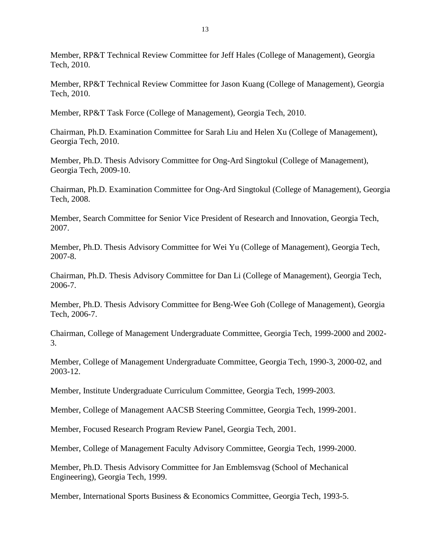Member, RP&T Technical Review Committee for Jeff Hales (College of Management), Georgia Tech, 2010.

Member, RP&T Technical Review Committee for Jason Kuang (College of Management), Georgia Tech, 2010.

Member, RP&T Task Force (College of Management), Georgia Tech, 2010.

Chairman, Ph.D. Examination Committee for Sarah Liu and Helen Xu (College of Management), Georgia Tech, 2010.

Member, Ph.D. Thesis Advisory Committee for Ong-Ard Singtokul (College of Management), Georgia Tech, 2009-10.

Chairman, Ph.D. Examination Committee for Ong-Ard Singtokul (College of Management), Georgia Tech, 2008.

Member, Search Committee for Senior Vice President of Research and Innovation, Georgia Tech, 2007.

Member, Ph.D. Thesis Advisory Committee for Wei Yu (College of Management), Georgia Tech, 2007-8.

Chairman, Ph.D. Thesis Advisory Committee for Dan Li (College of Management), Georgia Tech, 2006-7.

Member, Ph.D. Thesis Advisory Committee for Beng-Wee Goh (College of Management), Georgia Tech, 2006-7.

Chairman, College of Management Undergraduate Committee, Georgia Tech, 1999-2000 and 2002- 3.

Member, College of Management Undergraduate Committee, Georgia Tech, 1990-3, 2000-02, and 2003-12.

Member, Institute Undergraduate Curriculum Committee, Georgia Tech, 1999-2003.

Member, College of Management AACSB Steering Committee, Georgia Tech, 1999-2001.

Member, Focused Research Program Review Panel, Georgia Tech, 2001.

Member, College of Management Faculty Advisory Committee, Georgia Tech, 1999-2000.

Member, Ph.D. Thesis Advisory Committee for Jan Emblemsvag (School of Mechanical Engineering), Georgia Tech, 1999.

Member, International Sports Business & Economics Committee, Georgia Tech, 1993-5.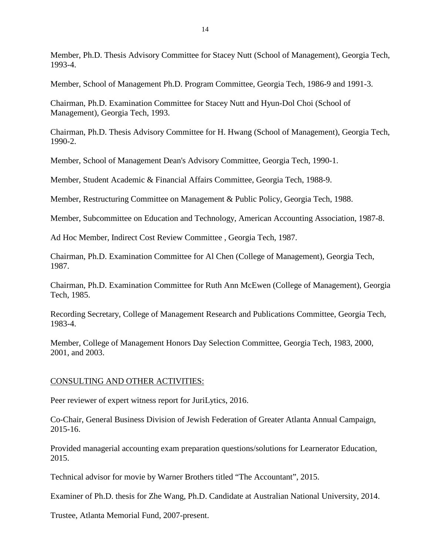Member, Ph.D. Thesis Advisory Committee for Stacey Nutt (School of Management), Georgia Tech, 1993-4.

Member, School of Management Ph.D. Program Committee, Georgia Tech, 1986-9 and 1991-3.

Chairman, Ph.D. Examination Committee for Stacey Nutt and Hyun-Dol Choi (School of Management), Georgia Tech, 1993.

Chairman, Ph.D. Thesis Advisory Committee for H. Hwang (School of Management), Georgia Tech, 1990-2.

Member, School of Management Dean's Advisory Committee, Georgia Tech, 1990-1.

Member, Student Academic & Financial Affairs Committee, Georgia Tech, 1988-9.

Member, Restructuring Committee on Management & Public Policy, Georgia Tech, 1988.

Member, Subcommittee on Education and Technology, American Accounting Association, 1987-8.

Ad Hoc Member, Indirect Cost Review Committee , Georgia Tech, 1987.

Chairman, Ph.D. Examination Committee for Al Chen (College of Management), Georgia Tech, 1987.

Chairman, Ph.D. Examination Committee for Ruth Ann McEwen (College of Management), Georgia Tech, 1985.

Recording Secretary, College of Management Research and Publications Committee, Georgia Tech, 1983-4.

Member, College of Management Honors Day Selection Committee, Georgia Tech, 1983, 2000, 2001, and 2003.

# CONSULTING AND OTHER ACTIVITIES:

Peer reviewer of expert witness report for JuriLytics, 2016.

Co-Chair, General Business Division of Jewish Federation of Greater Atlanta Annual Campaign, 2015-16.

Provided managerial accounting exam preparation questions/solutions for Learnerator Education, 2015.

Technical advisor for movie by Warner Brothers titled "The Accountant", 2015.

Examiner of Ph.D. thesis for Zhe Wang, Ph.D. Candidate at Australian National University, 2014.

Trustee, Atlanta Memorial Fund, 2007-present.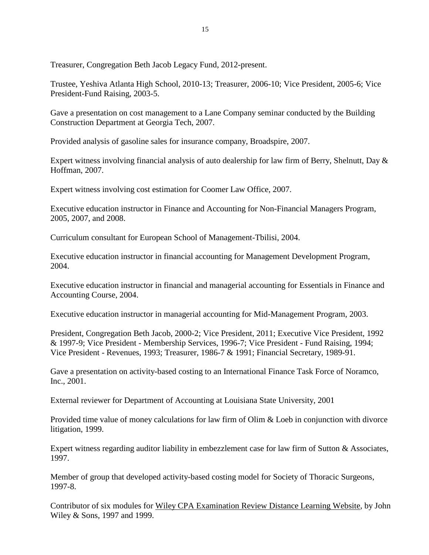Treasurer, Congregation Beth Jacob Legacy Fund, 2012-present.

Trustee, Yeshiva Atlanta High School, 2010-13; Treasurer, 2006-10; Vice President, 2005-6; Vice President-Fund Raising, 2003-5.

Gave a presentation on cost management to a Lane Company seminar conducted by the Building Construction Department at Georgia Tech, 2007.

Provided analysis of gasoline sales for insurance company, Broadspire, 2007.

Expert witness involving financial analysis of auto dealership for law firm of Berry, Shelnutt, Day & Hoffman, 2007.

Expert witness involving cost estimation for Coomer Law Office, 2007.

Executive education instructor in Finance and Accounting for Non-Financial Managers Program, 2005, 2007, and 2008.

Curriculum consultant for European School of Management-Tbilisi, 2004.

Executive education instructor in financial accounting for Management Development Program, 2004.

Executive education instructor in financial and managerial accounting for Essentials in Finance and Accounting Course, 2004.

Executive education instructor in managerial accounting for Mid-Management Program, 2003.

President, Congregation Beth Jacob, 2000-2; Vice President, 2011; Executive Vice President, 1992 & 1997-9; Vice President - Membership Services, 1996-7; Vice President - Fund Raising, 1994; Vice President - Revenues, 1993; Treasurer, 1986-7 & 1991; Financial Secretary, 1989-91.

Gave a presentation on activity-based costing to an International Finance Task Force of Noramco, Inc., 2001.

External reviewer for Department of Accounting at Louisiana State University, 2001

Provided time value of money calculations for law firm of Olim & Loeb in conjunction with divorce litigation, 1999.

Expert witness regarding auditor liability in embezzlement case for law firm of Sutton & Associates, 1997.

Member of group that developed activity-based costing model for Society of Thoracic Surgeons, 1997-8.

Contributor of six modules for Wiley CPA Examination Review Distance Learning Website, by John Wiley & Sons, 1997 and 1999.